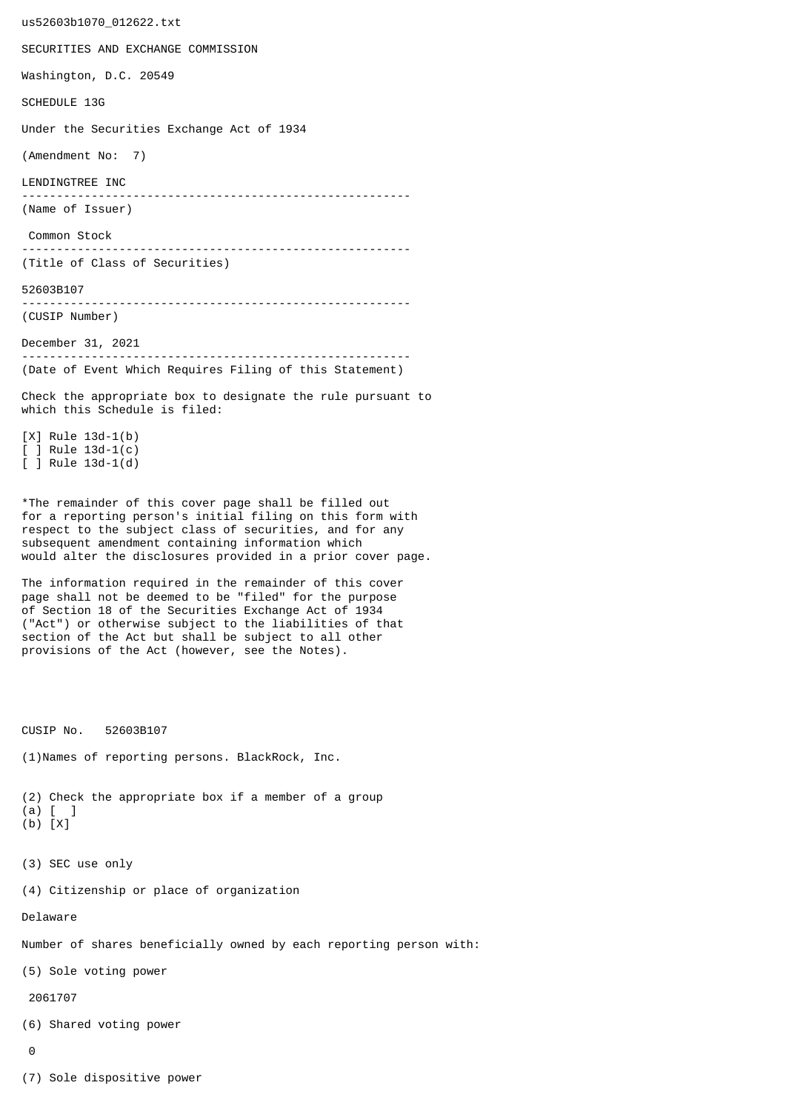us52603b1070\_012622.txt SECURITIES AND EXCHANGE COMMISSION Washington, D.C. 20549 SCHEDULE 13G Under the Securities Exchange Act of 1934 (Amendment No: 7) LENDINGTREE INC -------------------------------------------------------- (Name of Issuer) Common Stock -------------------------------------------------------- (Title of Class of Securities) 52603B107 -------------------------------------------------------- (CUSIP Number) December 31, 2021 -------------------------------------------------------- (Date of Event Which Requires Filing of this Statement) Check the appropriate box to designate the rule pursuant to which this Schedule is filed: [X] Rule 13d-1(b) [ ] Rule 13d-1(c) [ ] Rule 13d-1(d) \*The remainder of this cover page shall be filled out for a reporting person's initial filing on this form with respect to the subject class of securities, and for any subsequent amendment containing information which would alter the disclosures provided in a prior cover page. The information required in the remainder of this cover page shall not be deemed to be "filed" for the purpose of Section 18 of the Securities Exchange Act of 1934 ("Act") or otherwise subject to the liabilities of that section of the Act but shall be subject to all other provisions of the Act (however, see the Notes). CUSIP No. 52603B107 (1)Names of reporting persons. BlackRock, Inc. (2) Check the appropriate box if a member of a group (a) [ ] (b) [X] (3) SEC use only (4) Citizenship or place of organization Delaware Number of shares beneficially owned by each reporting person with: (5) Sole voting power 2061707 (6) Shared voting power  $\Omega$ 

(7) Sole dispositive power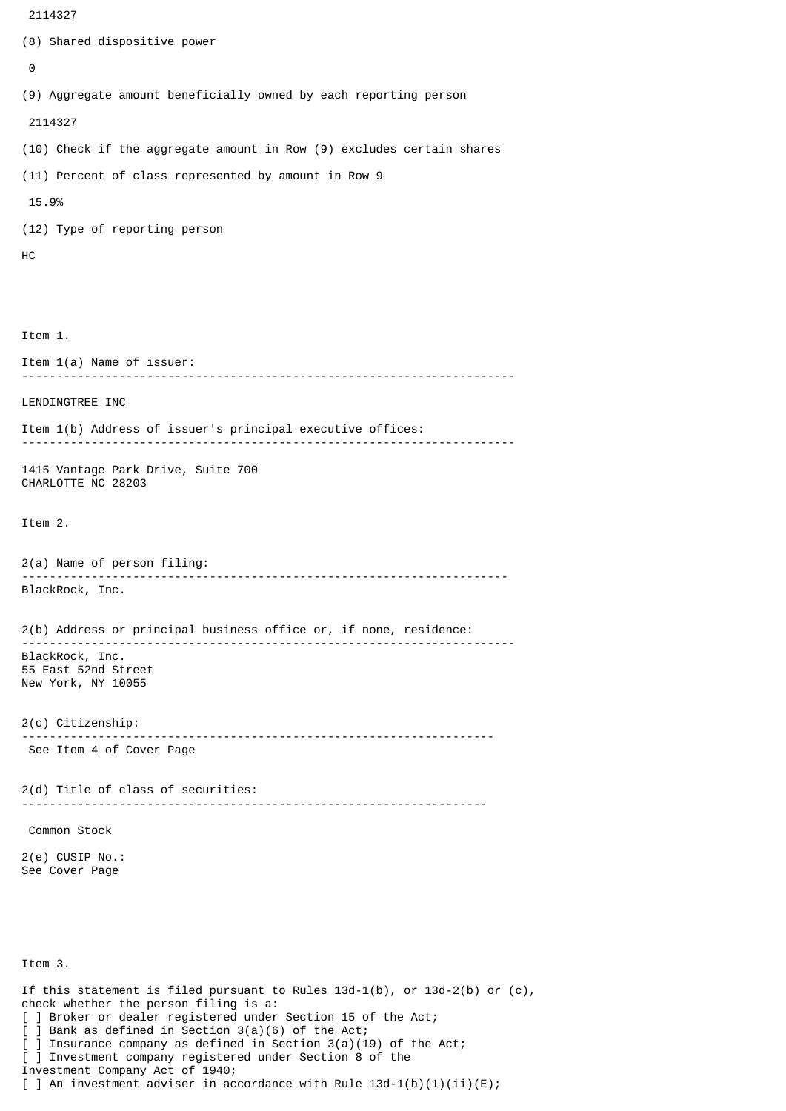```
 2114327
(8) Shared dispositive power
 \boldsymbol{\Theta}(9) Aggregate amount beneficially owned by each reporting person
  2114327
(10) Check if the aggregate amount in Row (9) excludes certain shares
(11) Percent of class represented by amount in Row 9
 15.9%
(12) Type of reporting person
HC
Item 1.
Item 1(a) Name of issuer:
           -----------------------------------------------------------------------
LENDINGTREE INC
Item 1(b) Address of issuer's principal executive offices:
-----------------------------------------------------------------------
1415 Vantage Park Drive, Suite 700
CHARLOTTE NC 28203
Item 2.
2(a) Name of person filing:
              ----------------------------------------------------------------------
BlackRock, Inc.
2(b) Address or principal business office or, if none, residence:
 -----------------------------------------------------------------------
BlackRock, Inc.
55 East 52nd Street
New York, NY 10055
2(c) Citizenship:
                            --------------------------------------------------------------------
 See Item 4 of Cover Page
2(d) Title of class of securities:
                                       -------------------------------------------------------------------
 Common Stock
2(e) CUSIP No.:
See Cover Page
Item 3.
If this statement is filed pursuant to Rules 13d-1(b), or 13d-2(b) or (c),
check whether the person filing is a:
[ ] Broker or dealer registered under Section 15 of the Act;
```
[ ] Bank as defined in Section 3(a)(6) of the Act;

] Insurance company as defined in Section  $3(a)(19)$  of the Act;

[ ] Investment company registered under Section 8 of the

Investment Company Act of 1940;

[ ] An investment adviser in accordance with Rule  $13d-1(b)(1)(ii)(E)$ ;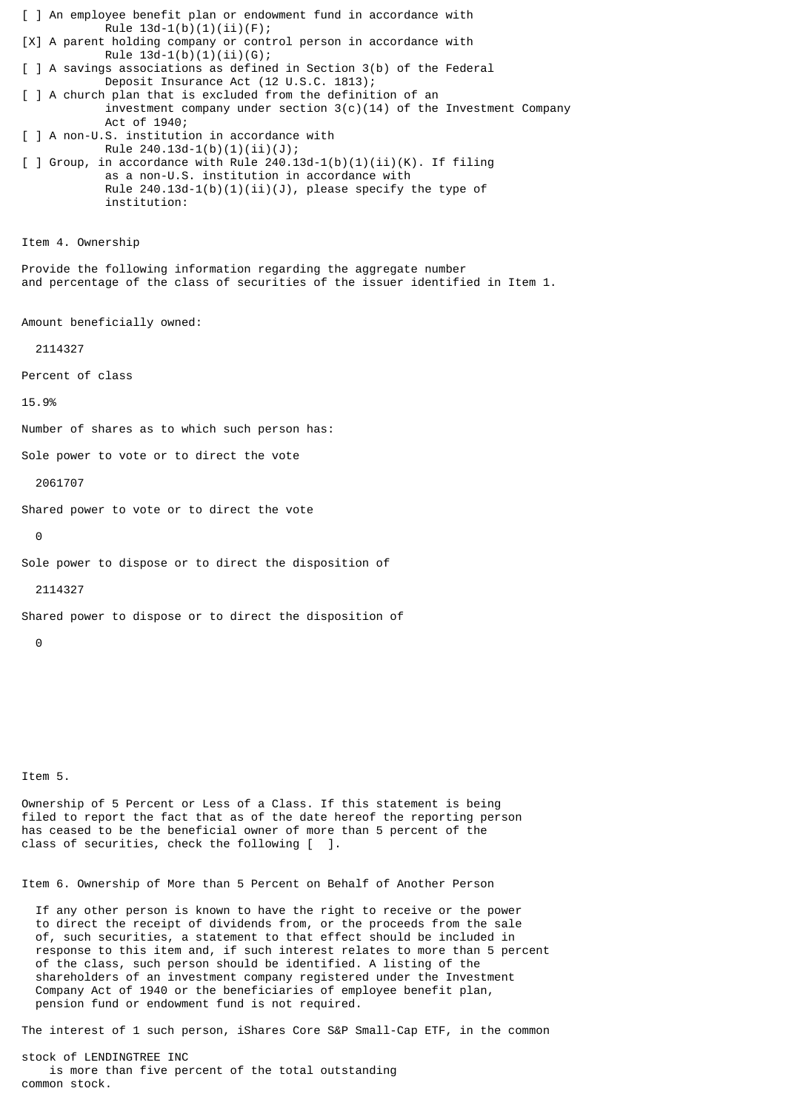[ ] An employee benefit plan or endowment fund in accordance with Rule  $13d-1(b)(1)(ii)(F);$ [X] A parent holding company or control person in accordance with Rule  $13d-1(b)(1)(ii)(G);$ [ ] A savings associations as defined in Section 3(b) of the Federal Deposit Insurance Act (12 U.S.C. 1813); [ ] A church plan that is excluded from the definition of an investment company under section  $3(c)(14)$  of the Investment Company Act of 1940; [ ] A non-U.S. institution in accordance with Rule  $240.13d-1(b)(1)(ii)(J);$  $\lceil$  ] Group, in accordance with Rule 240.13d-1(b)(1)(ii)(K). If filing as a non-U.S. institution in accordance with Rule  $240.13d-1(b)(1)(ii)(J)$ , please specify the type of institution: Item 4. Ownership Provide the following information regarding the aggregate number and percentage of the class of securities of the issuer identified in Item 1. Amount beneficially owned: 2114327 Percent of class 15.9% Number of shares as to which such person has: Sole power to vote or to direct the vote 2061707 Shared power to vote or to direct the vote  $\Theta$ Sole power to dispose or to direct the disposition of 2114327

Shared power to dispose or to direct the disposition of

 $\Omega$ 

Item 5.

Ownership of 5 Percent or Less of a Class. If this statement is being filed to report the fact that as of the date hereof the reporting person has ceased to be the beneficial owner of more than 5 percent of the class of securities, check the following [ ].

Item 6. Ownership of More than 5 Percent on Behalf of Another Person

 If any other person is known to have the right to receive or the power to direct the receipt of dividends from, or the proceeds from the sale of, such securities, a statement to that effect should be included in response to this item and, if such interest relates to more than 5 percent of the class, such person should be identified. A listing of the shareholders of an investment company registered under the Investment Company Act of 1940 or the beneficiaries of employee benefit plan, pension fund or endowment fund is not required.

The interest of 1 such person, iShares Core S&P Small-Cap ETF, in the common

stock of LENDINGTREE INC is more than five percent of the total outstanding common stock.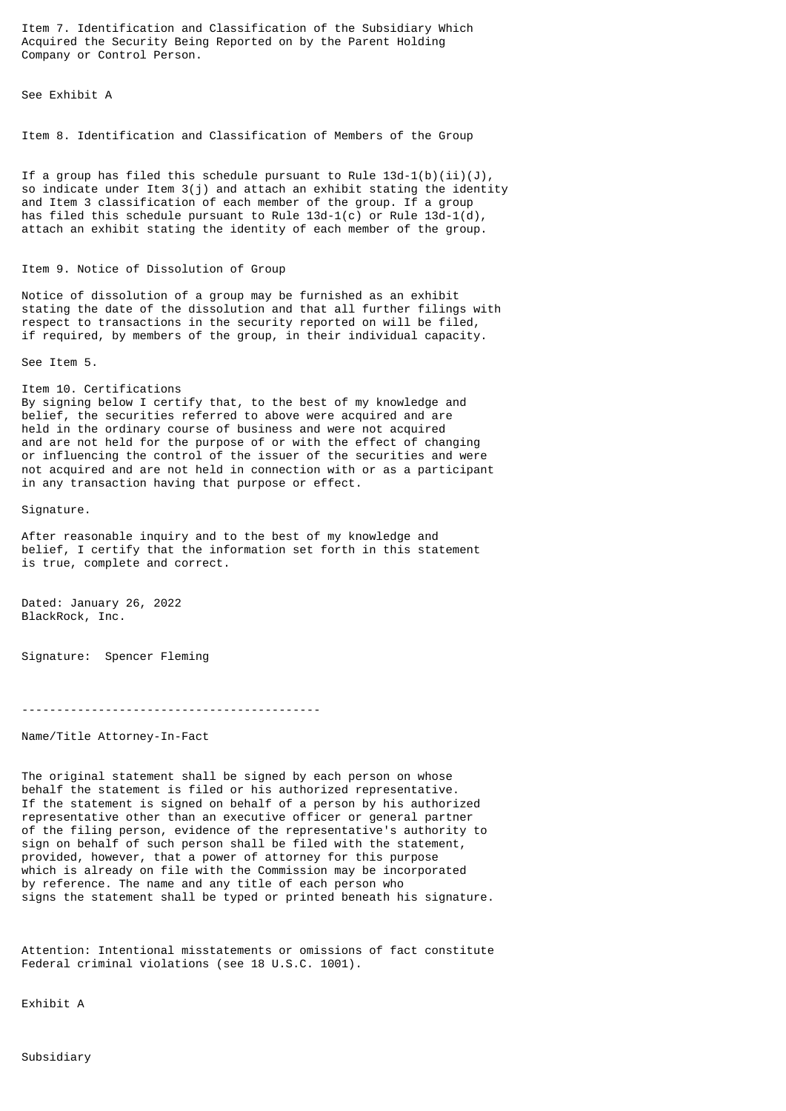Item 7. Identification and Classification of the Subsidiary Which Acquired the Security Being Reported on by the Parent Holding Company or Control Person.

## See Exhibit A

Item 8. Identification and Classification of Members of the Group

If a group has filed this schedule pursuant to Rule  $13d-1(b)(ii)(J)$ , so indicate under Item 3(j) and attach an exhibit stating the identity and Item 3 classification of each member of the group. If a group has filed this schedule pursuant to Rule 13d-1(c) or Rule 13d-1(d), attach an exhibit stating the identity of each member of the group.

## Item 9. Notice of Dissolution of Group

Notice of dissolution of a group may be furnished as an exhibit stating the date of the dissolution and that all further filings with respect to transactions in the security reported on will be filed, if required, by members of the group, in their individual capacity.

See Item 5.

Item 10. Certifications By signing below I certify that, to the best of my knowledge and belief, the securities referred to above were acquired and are held in the ordinary course of business and were not acquired and are not held for the purpose of or with the effect of changing or influencing the control of the issuer of the securities and were not acquired and are not held in connection with or as a participant in any transaction having that purpose or effect.

## Signature.

After reasonable inquiry and to the best of my knowledge and belief, I certify that the information set forth in this statement is true, complete and correct.

Dated: January 26, 2022 BlackRock, Inc.

Signature: Spencer Fleming

```
-------------------------------------------
```
Name/Title Attorney-In-Fact

The original statement shall be signed by each person on whose behalf the statement is filed or his authorized representative. If the statement is signed on behalf of a person by his authorized representative other than an executive officer or general partner of the filing person, evidence of the representative's authority to sign on behalf of such person shall be filed with the statement, provided, however, that a power of attorney for this purpose which is already on file with the Commission may be incorporated by reference. The name and any title of each person who signs the statement shall be typed or printed beneath his signature.

Attention: Intentional misstatements or omissions of fact constitute Federal criminal violations (see 18 U.S.C. 1001).

Exhibit A